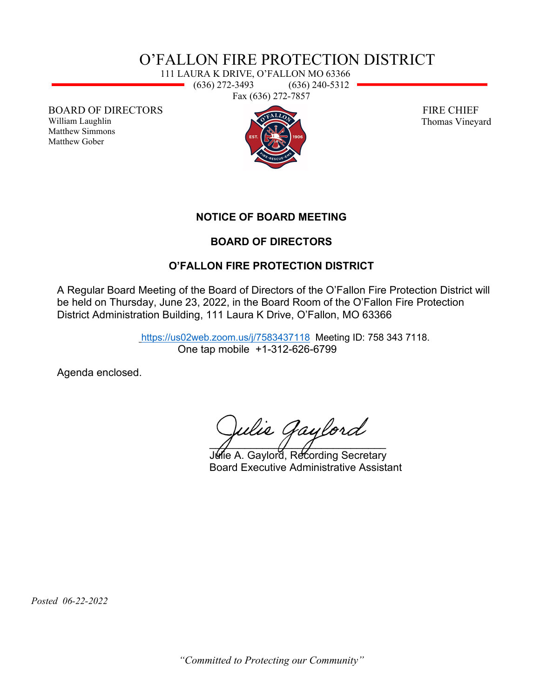## O'FALLON FIRE PROTECTION DISTRICT

111 LAURA K DRIVE, O'FALLON MO 63366 (636) 272-3493 (636) 240-5312 Fax (636) 272-7857

BOARD OF DIRECTORS

William Laughlin Matthew Simmons Matthew Gober



 FIRE CHIEF Thomas Vineyard

**NOTICE OF BOARD MEETING** 

### **BOARD OF DIRECTORS**

### **O'FALLON FIRE PROTECTION DISTRICT**

A Regular Board Meeting of the Board of Directors of the O'Fallon Fire Protection District will be held on Thursday, June 23, 2022, in the Board Room of the O'Fallon Fire Protection District Administration Building, 111 Laura K Drive, O'Fallon, MO 63366

> <https://us02web.zoom.us/j/7583437118>Meeting ID: 758 343 7118. One tap mobile +1-312-626-6799

Agenda enclosed.

Julie Gaylord  $\overline{A}$  and  $\overline{A}$ 

Julie A. Gaylord, Recording Secretary Board Executive Administrative Assistant

 *Posted 06-22-2022*